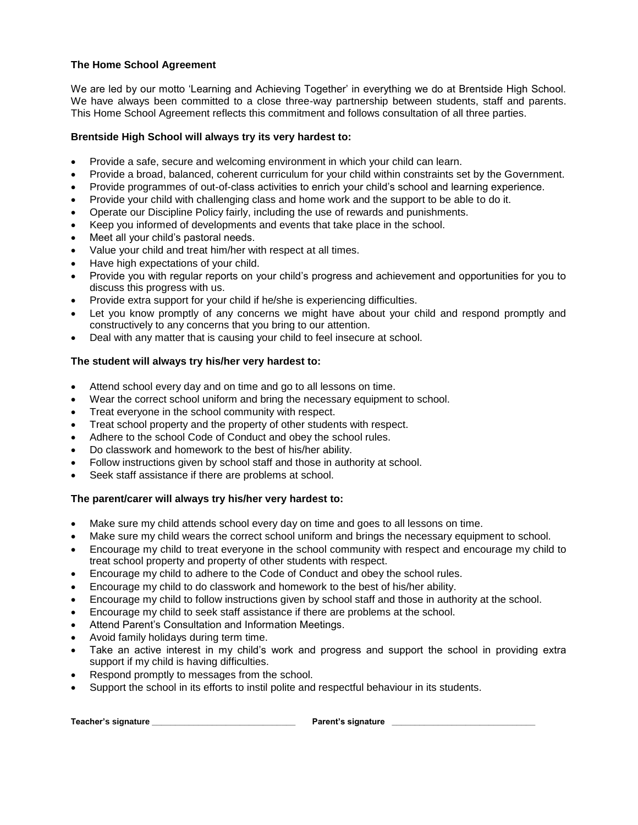## **The Home School Agreement**

We are led by our motto 'Learning and Achieving Together' in everything we do at Brentside High School. We have always been committed to a close three-way partnership between students, staff and parents. This Home School Agreement reflects this commitment and follows consultation of all three parties.

## **Brentside High School will always try its very hardest to:**

- Provide a safe, secure and welcoming environment in which your child can learn.
- Provide a broad, balanced, coherent curriculum for your child within constraints set by the Government.
- Provide programmes of out-of-class activities to enrich your child's school and learning experience.
- Provide your child with challenging class and home work and the support to be able to do it.
- Operate our Discipline Policy fairly, including the use of rewards and punishments.
- Keep you informed of developments and events that take place in the school.
- Meet all your child's pastoral needs.
- Value your child and treat him/her with respect at all times.
- Have high expectations of your child.
- Provide you with regular reports on your child's progress and achievement and opportunities for you to discuss this progress with us.
- Provide extra support for your child if he/she is experiencing difficulties.
- Let you know promptly of any concerns we might have about your child and respond promptly and constructively to any concerns that you bring to our attention.
- Deal with any matter that is causing your child to feel insecure at school.

## **The student will always try his/her very hardest to:**

- Attend school every day and on time and go to all lessons on time.
- Wear the correct school uniform and bring the necessary equipment to school.
- Treat everyone in the school community with respect.
- Treat school property and the property of other students with respect.
- Adhere to the school Code of Conduct and obey the school rules.
- Do classwork and homework to the best of his/her ability.
- Follow instructions given by school staff and those in authority at school.
- Seek staff assistance if there are problems at school.

## **The parent/carer will always try his/her very hardest to:**

- Make sure my child attends school every day on time and goes to all lessons on time.
- Make sure my child wears the correct school uniform and brings the necessary equipment to school.
- Encourage my child to treat everyone in the school community with respect and encourage my child to treat school property and property of other students with respect.
- Encourage my child to adhere to the Code of Conduct and obey the school rules.
- Encourage my child to do classwork and homework to the best of his/her ability.
- Encourage my child to follow instructions given by school staff and those in authority at the school.
- Encourage my child to seek staff assistance if there are problems at the school.
- Attend Parent's Consultation and Information Meetings.
- Avoid family holidays during term time.
- Take an active interest in my child's work and progress and support the school in providing extra support if my child is having difficulties.
- Respond promptly to messages from the school.
- Support the school in its efforts to instil polite and respectful behaviour in its students.

**Teacher's signature \_\_\_\_\_\_\_\_\_\_\_\_\_\_\_\_\_\_\_\_\_\_\_\_\_\_\_\_\_\_\_ Parent's signature \_\_\_\_\_\_\_\_\_\_\_\_\_\_\_\_\_\_\_\_\_\_\_\_\_\_\_\_\_\_\_**